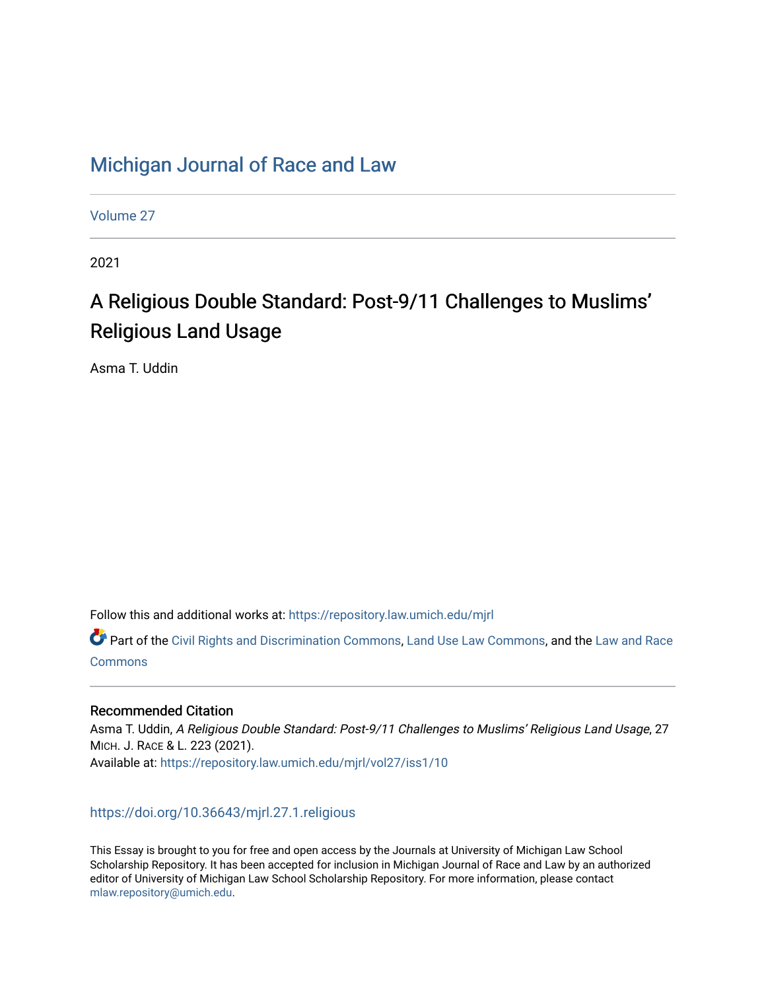## [Michigan Journal of Race and Law](https://repository.law.umich.edu/mjrl)

[Volume 27](https://repository.law.umich.edu/mjrl/vol27)

2021

# A Religious Double Standard: Post-9/11 Challenges to Muslims' Religious Land Usage

Asma T. Uddin

Follow this and additional works at: [https://repository.law.umich.edu/mjrl](https://repository.law.umich.edu/mjrl?utm_source=repository.law.umich.edu%2Fmjrl%2Fvol27%2Fiss1%2F10&utm_medium=PDF&utm_campaign=PDFCoverPages) 

Part of the [Civil Rights and Discrimination Commons,](https://network.bepress.com/hgg/discipline/585?utm_source=repository.law.umich.edu%2Fmjrl%2Fvol27%2Fiss1%2F10&utm_medium=PDF&utm_campaign=PDFCoverPages) [Land Use Law Commons](https://network.bepress.com/hgg/discipline/852?utm_source=repository.law.umich.edu%2Fmjrl%2Fvol27%2Fiss1%2F10&utm_medium=PDF&utm_campaign=PDFCoverPages), and the [Law and Race](https://network.bepress.com/hgg/discipline/1300?utm_source=repository.law.umich.edu%2Fmjrl%2Fvol27%2Fiss1%2F10&utm_medium=PDF&utm_campaign=PDFCoverPages) **[Commons](https://network.bepress.com/hgg/discipline/1300?utm_source=repository.law.umich.edu%2Fmjrl%2Fvol27%2Fiss1%2F10&utm_medium=PDF&utm_campaign=PDFCoverPages)** 

## Recommended Citation

Asma T. Uddin, A Religious Double Standard: Post-9/11 Challenges to Muslims' Religious Land Usage, 27 MICH. J. RACE & L. 223 (2021). Available at: [https://repository.law.umich.edu/mjrl/vol27/iss1/10](https://repository.law.umich.edu/mjrl/vol27/iss1/10?utm_source=repository.law.umich.edu%2Fmjrl%2Fvol27%2Fiss1%2F10&utm_medium=PDF&utm_campaign=PDFCoverPages)

## <https://doi.org/10.36643/mjrl.27.1.religious>

This Essay is brought to you for free and open access by the Journals at University of Michigan Law School Scholarship Repository. It has been accepted for inclusion in Michigan Journal of Race and Law by an authorized editor of University of Michigan Law School Scholarship Repository. For more information, please contact [mlaw.repository@umich.edu.](mailto:mlaw.repository@umich.edu)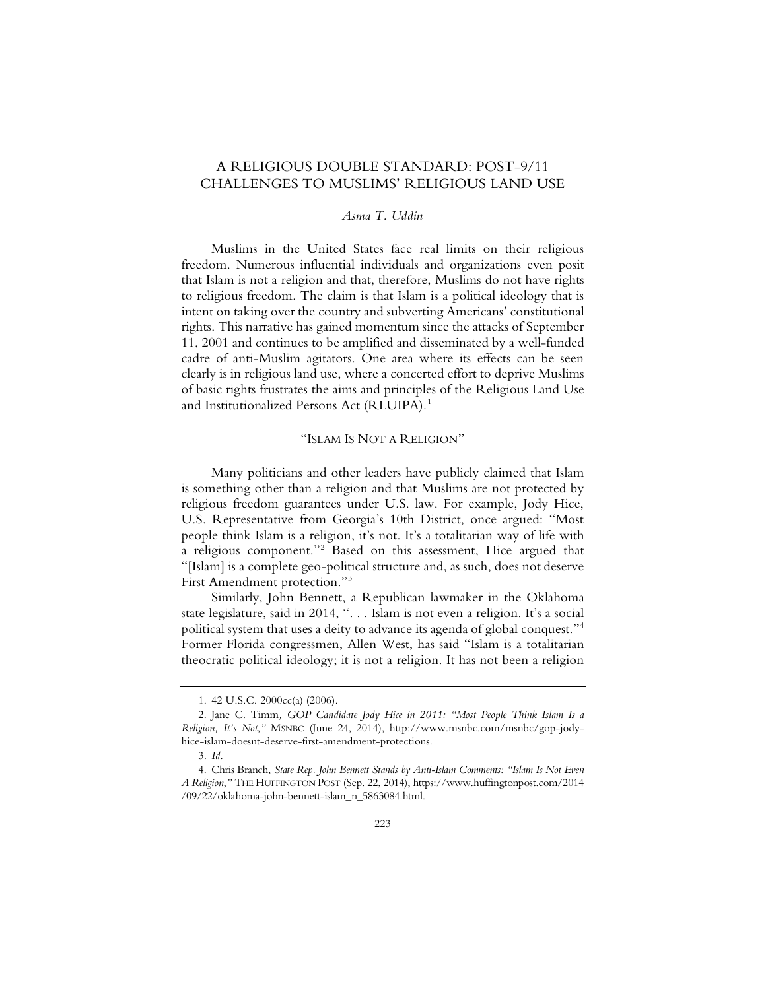## A RELIGIOUS DOUBLE STANDARD: POST-9/11 CHALLENGES TO MUSLIMS' RELIGIOUS LAND USE

### *Asma T. Uddin*

Muslims in the United States face real limits on their religious freedom. Numerous influential individuals and organizations even posit that Islam is not a religion and that, therefore, Muslims do not have rights to religious freedom. The claim is that Islam is a political ideology that is intent on taking over the country and subverting Americans' constitutional rights. This narrative has gained momentum since the attacks of September 11, 2001 and continues to be amplified and disseminated by a well-funded cadre of anti-Muslim agitators. One area where its effects can be seen clearly is in religious land use, where a concerted effort to deprive Muslims of basic rights frustrates the aims and principles of the Religious Land Use and Institutionalized Persons Act (RLUIPA).<sup>1</sup>

#### "ISLAM IS NOT A RELIGION"

Many politicians and other leaders have publicly claimed that Islam is something other than a religion and that Muslims are not protected by religious freedom guarantees under U.S. law. For example, Jody Hice, U.S. Representative from Georgia's 10th District, once argued: "Most people think Islam is a religion, it's not. It's a totalitarian way of life with a religious component."2 Based on this assessment, Hice argued that "[Islam] is a complete geo-political structure and, as such, does not deserve First Amendment protection."3

Similarly, John Bennett, a Republican lawmaker in the Oklahoma state legislature, said in 2014, ". . . Islam is not even a religion. It's a social political system that uses a deity to advance its agenda of global conquest."4 Former Florida congressmen, Allen West, has said "Islam is a totalitarian theocratic political ideology; it is not a religion. It has not been a religion

<sup>1. 42</sup> U.S.C. 2000cc(a) (2006).

<sup>2.</sup> Jane C. Timm*, GOP Candidate Jody Hice in 2011: "Most People Think Islam Is a Religion, It's Not*,*"* MSNBC (June 24, 2014), http://www.msnbc.com/msnbc/gop-jodyhice-islam-doesnt-deserve-first-amendment-protections.

<sup>3</sup>*. Id.*

<sup>4.</sup> Chris Branch, *State Rep. John Bennett Stands by Anti-Islam Comments: "Islam Is Not Even A Religion*,*"* THE HUFFINGTON POST (Sep. 22, 2014), https://www.huffingtonpost.com/2014 /09/22/oklahoma-john-bennett-islam\_n\_5863084.html.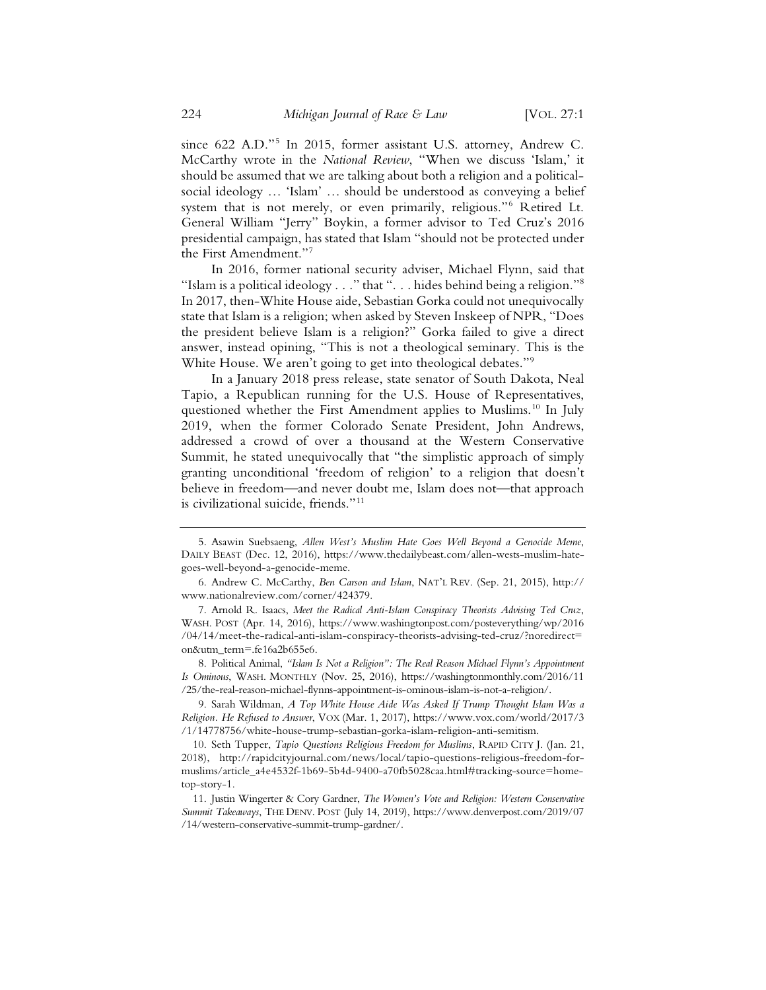since 622 A.D."<sup>5</sup> In 2015, former assistant U.S. attorney, Andrew C. McCarthy wrote in the *National Review*, "When we discuss 'Islam,' it should be assumed that we are talking about both a religion and a politicalsocial ideology … 'Islam' … should be understood as conveying a belief system that is not merely, or even primarily, religious."6 Retired Lt. General William "Jerry" Boykin, a former advisor to Ted Cruz's 2016 presidential campaign, has stated that Islam "should not be protected under the First Amendment."7

In 2016, former national security adviser, Michael Flynn, said that "Islam is a political ideology . . ." that ". . . hides behind being a religion."8 In 2017, then-White House aide, Sebastian Gorka could not unequivocally state that Islam is a religion; when asked by Steven Inskeep of NPR, "Does the president believe Islam is a religion?" Gorka failed to give a direct answer, instead opining, "This is not a theological seminary. This is the White House. We aren't going to get into theological debates."<sup>9</sup>

In a January 2018 press release, state senator of South Dakota, Neal Tapio, a Republican running for the U.S. House of Representatives, questioned whether the First Amendment applies to Muslims.<sup>10</sup> In July 2019, when the former Colorado Senate President, John Andrews, addressed a crowd of over a thousand at the Western Conservative Summit, he stated unequivocally that "the simplistic approach of simply granting unconditional 'freedom of religion' to a religion that doesn't believe in freedom—and never doubt me, Islam does not—that approach is civilizational suicide, friends."11

8. Political Animal, *"Islam Is Not a Religion": The Real Reason Michael Flynn's Appointment Is Ominous*, WASH. MONTHLY (Nov. 25, 2016), https://washingtonmonthly.com/2016/11 /25/the-real-reason-michael-flynns-appointment-is-ominous-islam-is-not-a-religion/.

<sup>5.</sup> Asawin Suebsaeng, *Allen West's Muslim Hate Goes Well Beyond a Genocide Meme*, DAILY BEAST (Dec. 12, 2016), https://www.thedailybeast.com/allen-wests-muslim-hategoes-well-beyond-a-genocide-meme.

<sup>6.</sup> Andrew C. McCarthy, *Ben Carson and Islam*, NAT'L REV. (Sep. 21, 2015), http:// www.nationalreview.com/corner/424379.

<sup>7.</sup> Arnold R. Isaacs, *Meet the Radical Anti-Islam Conspiracy Theorists Advising Ted Cruz*, WASH. POST (Apr. 14, 2016), https://www.washingtonpost.com/posteverything/wp/2016 /04/14/meet-the-radical-anti-islam-conspiracy-theorists-advising-ted-cruz/?noredirect= on&utm\_term=.fe16a2b655e6.

<sup>9.</sup> Sarah Wildman, *A Top White House Aide Was Asked If Trump Thought Islam Was a Religion. He Refused to Answer*, VOX (Mar. 1, 2017), https://www.vox.com/world/2017/3 /1/14778756/white-house-trump-sebastian-gorka-islam-religion-anti-semitism.

<sup>10.</sup> Seth Tupper, *Tapio Questions Religious Freedom for Muslims*, RAPID CITY J. (Jan. 21, 2018), http://rapidcityjournal.com/news/local/tapio-questions-religious-freedom-formuslims/article\_a4e4532f-1b69-5b4d-9400-a70fb5028caa.html#tracking-source=hometop-story-1.

<sup>11.</sup> Justin Wingerter & Cory Gardner, *The Women's Vote and Religion: Western Conservative Summit Takeaways*, THE DENV. POST (July 14, 2019), https://www.denverpost.com/2019/07 /14/western-conservative-summit-trump-gardner/.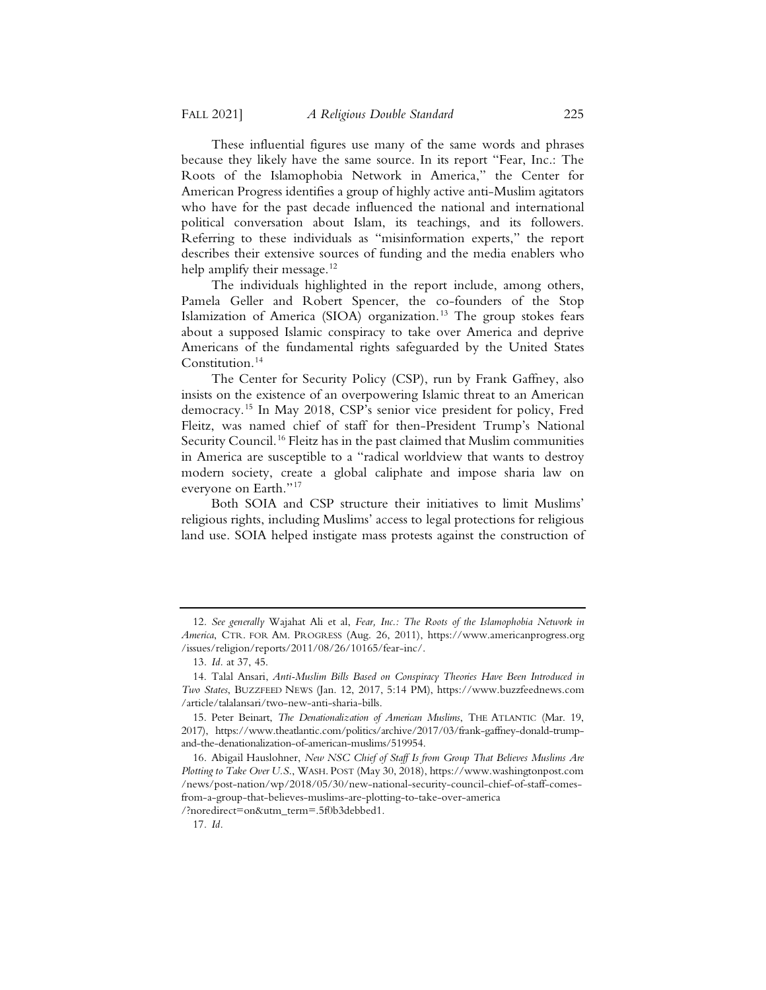These influential figures use many of the same words and phrases because they likely have the same source. In its report "Fear, Inc.: The Roots of the Islamophobia Network in America," the Center for American Progress identifies a group of highly active anti-Muslim agitators who have for the past decade influenced the national and international political conversation about Islam, its teachings, and its followers. Referring to these individuals as "misinformation experts," the report describes their extensive sources of funding and the media enablers who help amplify their message.<sup>12</sup>

The individuals highlighted in the report include, among others, Pamela Geller and Robert Spencer, the co-founders of the Stop Islamization of America (SIOA) organization.<sup>13</sup> The group stokes fears about a supposed Islamic conspiracy to take over America and deprive Americans of the fundamental rights safeguarded by the United States Constitution.<sup>14</sup>

The Center for Security Policy (CSP), run by Frank Gaffney, also insists on the existence of an overpowering Islamic threat to an American democracy.15 In May 2018, CSP's senior vice president for policy, Fred Fleitz, was named chief of staff for then-President Trump's National Security Council.<sup>16</sup> Fleitz has in the past claimed that Muslim communities in America are susceptible to a "radical worldview that wants to destroy modern society, create a global caliphate and impose sharia law on everyone on Earth."<sup>17</sup>

Both SOIA and CSP structure their initiatives to limit Muslims' religious rights, including Muslims' access to legal protections for religious land use. SOIA helped instigate mass protests against the construction of

/?noredirect=on&utm\_term=.5f0b3debbed1.

17*. Id.*

<sup>12</sup>*. See generally* Wajahat Ali et al, *Fear, Inc.: The Roots of the Islamophobia Network in America*, CTR. FOR AM. PROGRESS (Aug. 26, 2011), https://www.americanprogress.org /issues/religion/reports/2011/08/26/10165/fear-inc/.

<sup>13</sup>*. Id.* at 37, 45.

<sup>14.</sup> Talal Ansari, *Anti-Muslim Bills Based on Conspiracy Theories Have Been Introduced in Two States*, BUZZFEED NEWS (Jan. 12, 2017, 5:14 PM), https://www.buzzfeednews.com /article/talalansari/two-new-anti-sharia-bills.

<sup>15.</sup> Peter Beinart, *The Denationalization of American Muslims*, THE ATLANTIC (Mar. 19, 2017), https://www.theatlantic.com/politics/archive/2017/03/frank-gaffney-donald-trumpand-the-denationalization-of-american-muslims/519954.

<sup>16.</sup> Abigail Hauslohner, *New NSC Chief of Staff Is from Group That Believes Muslims Are Plotting to Take Over U.S*., WASH. POST (May 30, 2018), https://www.washingtonpost.com /news/post-nation/wp/2018/05/30/new-national-security-council-chief-of-staff-comesfrom-a-group-that-believes-muslims-are-plotting-to-take-over-america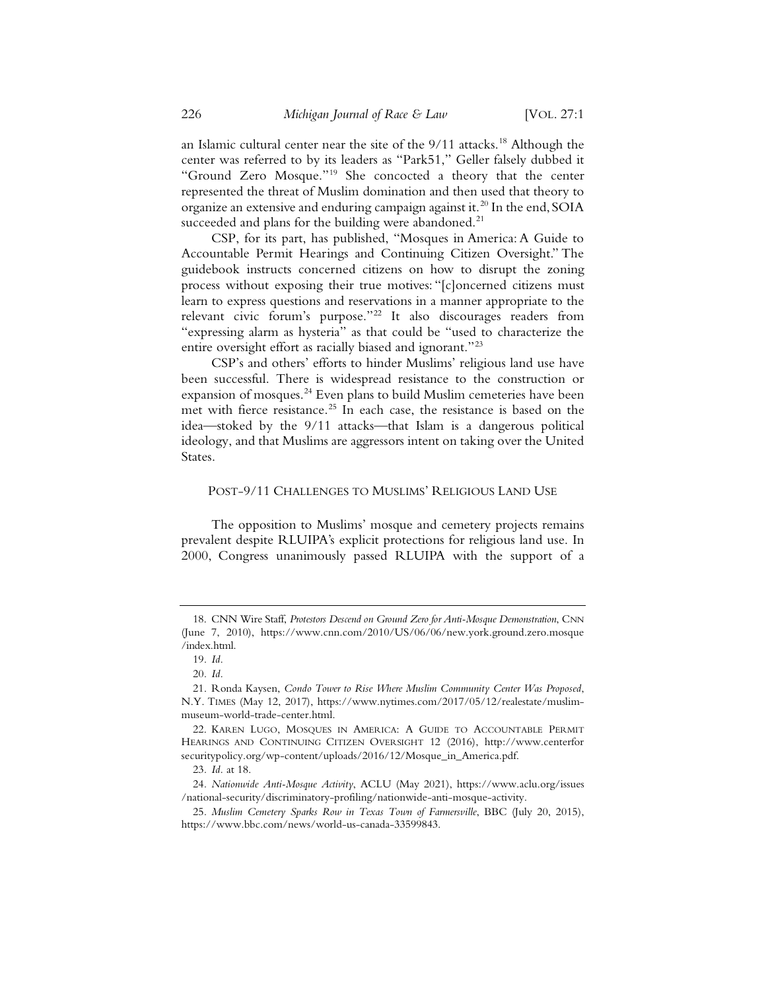an Islamic cultural center near the site of the 9/11 attacks.<sup>18</sup> Although the center was referred to by its leaders as "Park51," Geller falsely dubbed it "Ground Zero Mosque."19 She concocted a theory that the center represented the threat of Muslim domination and then used that theory to organize an extensive and enduring campaign against it.<sup>20</sup> In the end, SOIA succeeded and plans for the building were abandoned. $^{21}$ 

CSP, for its part, has published, "Mosques in America: A Guide to Accountable Permit Hearings and Continuing Citizen Oversight." The guidebook instructs concerned citizens on how to disrupt the zoning process without exposing their true motives: "[c]oncerned citizens must learn to express questions and reservations in a manner appropriate to the relevant civic forum's purpose."<sup>22</sup> It also discourages readers from "expressing alarm as hysteria" as that could be "used to characterize the entire oversight effort as racially biased and ignorant."23

CSP's and others' efforts to hinder Muslims' religious land use have been successful. There is widespread resistance to the construction or expansion of mosques.<sup>24</sup> Even plans to build Muslim cemeteries have been met with fierce resistance.<sup>25</sup> In each case, the resistance is based on the idea—stoked by the 9/11 attacks—that Islam is a dangerous political ideology, and that Muslims are aggressors intent on taking over the United States.

#### POST-9/11 CHALLENGES TO MUSLIMS' RELIGIOUS LAND USE

The opposition to Muslims' mosque and cemetery projects remains prevalent despite RLUIPA's explicit protections for religious land use. In 2000, Congress unanimously passed RLUIPA with the support of a

<sup>18.</sup> CNN Wire Staff, *Protestors Descend on Ground Zero for Anti-Mosque Demonstration*, CNN (June 7, 2010), https://www.cnn.com/2010/US/06/06/new.york.ground.zero.mosque /index.html.

<sup>19</sup>*. Id.*

<sup>20</sup>*. Id.*

<sup>21.</sup> Ronda Kaysen, *Condo Tower to Rise Where Muslim Community Center Was Proposed*, N.Y. TIMES (May 12, 2017), https://www.nytimes.com/2017/05/12/realestate/muslimmuseum-world-trade-center.html.

<sup>22.</sup> KAREN LUGO, MOSQUES IN AMERICA: A GUIDE TO ACCOUNTABLE PERMIT HEARINGS AND CONTINUING CITIZEN OVERSIGHT 12 (2016), http://www.centerfor securitypolicy.org/wp-content/uploads/2016/12/Mosque\_in\_America.pdf.

<sup>23</sup>*. Id.* at 18.

<sup>24</sup>*. Nationwide Anti-Mosque Activity*, ACLU (May 2021), https://www.aclu.org/issues /national-security/discriminatory-profiling/nationwide-anti-mosque-activity.

<sup>25</sup>*. Muslim Cemetery Sparks Row in Texas Town of Farmersville*, BBC (July 20, 2015), https://www.bbc.com/news/world-us-canada-33599843.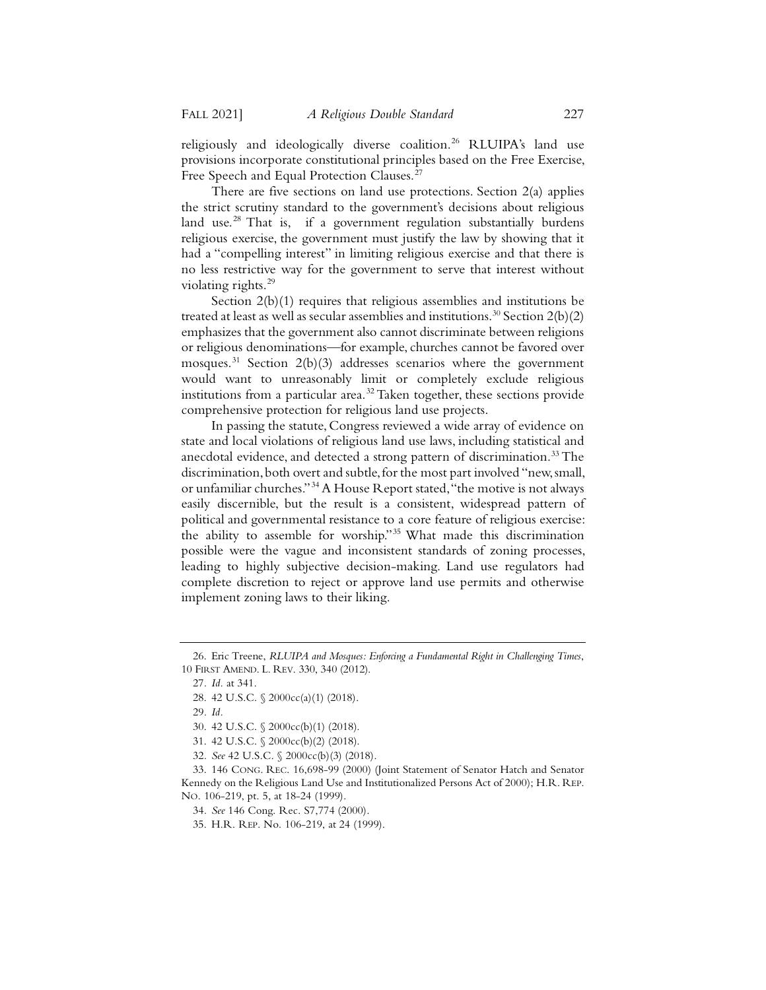religiously and ideologically diverse coalition.<sup>26</sup> RLUIPA's land use provisions incorporate constitutional principles based on the Free Exercise, Free Speech and Equal Protection Clauses.<sup>27</sup>

There are five sections on land use protections. Section 2(a) applies the strict scrutiny standard to the government's decisions about religious land use.<sup>28</sup> That is, if a government regulation substantially burdens religious exercise, the government must justify the law by showing that it had a "compelling interest" in limiting religious exercise and that there is no less restrictive way for the government to serve that interest without violating rights.<sup>29</sup>

Section 2(b)(1) requires that religious assemblies and institutions be treated at least as well as secular assemblies and institutions.<sup>30</sup> Section  $2(b)(2)$ emphasizes that the government also cannot discriminate between religions or religious denominations—for example, churches cannot be favored over mosques.<sup>31</sup> Section 2(b)(3) addresses scenarios where the government would want to unreasonably limit or completely exclude religious institutions from a particular area.<sup>32</sup> Taken together, these sections provide comprehensive protection for religious land use projects.

In passing the statute, Congress reviewed a wide array of evidence on state and local violations of religious land use laws, including statistical and anecdotal evidence, and detected a strong pattern of discrimination.<sup>33</sup> The discrimination, both overt and subtle, for the most part involved "new, small, or unfamiliar churches."34A House Report stated, "the motive is not always easily discernible, but the result is a consistent, widespread pattern of political and governmental resistance to a core feature of religious exercise: the ability to assemble for worship."35 What made this discrimination possible were the vague and inconsistent standards of zoning processes, leading to highly subjective decision-making. Land use regulators had complete discretion to reject or approve land use permits and otherwise implement zoning laws to their liking.

<sup>26.</sup> Eric Treene, *RLUIPA and Mosques: Enforcing a Fundamental Right in Challenging Times*, 10 FIRST AMEND. L. REV. 330, 340 (2012).

<sup>27</sup>*. Id.* at 341.

<sup>28. 42</sup> U.S.C. § 2000cc(a)(1) (2018).

<sup>29</sup>*. Id.*

<sup>30. 42</sup> U.S.C. § 2000cc(b)(1) (2018).

<sup>31. 42</sup> U.S.C. § 2000cc(b)(2) (2018).

<sup>32</sup>*. See* 42 U.S.C. § 2000cc(b)(3) (2018).

<sup>33. 146</sup> CONG. REC. 16,698-99 (2000) (Joint Statement of Senator Hatch and Senator Kennedy on the Religious Land Use and Institutionalized Persons Act of 2000); H.R. REP. NO. 106-219, pt. 5, at 18-24 (1999).

<sup>34</sup>*. See* 146 Cong. Rec. S7,774 (2000).

<sup>35.</sup> H.R. REP. No. 106-219, at 24 (1999).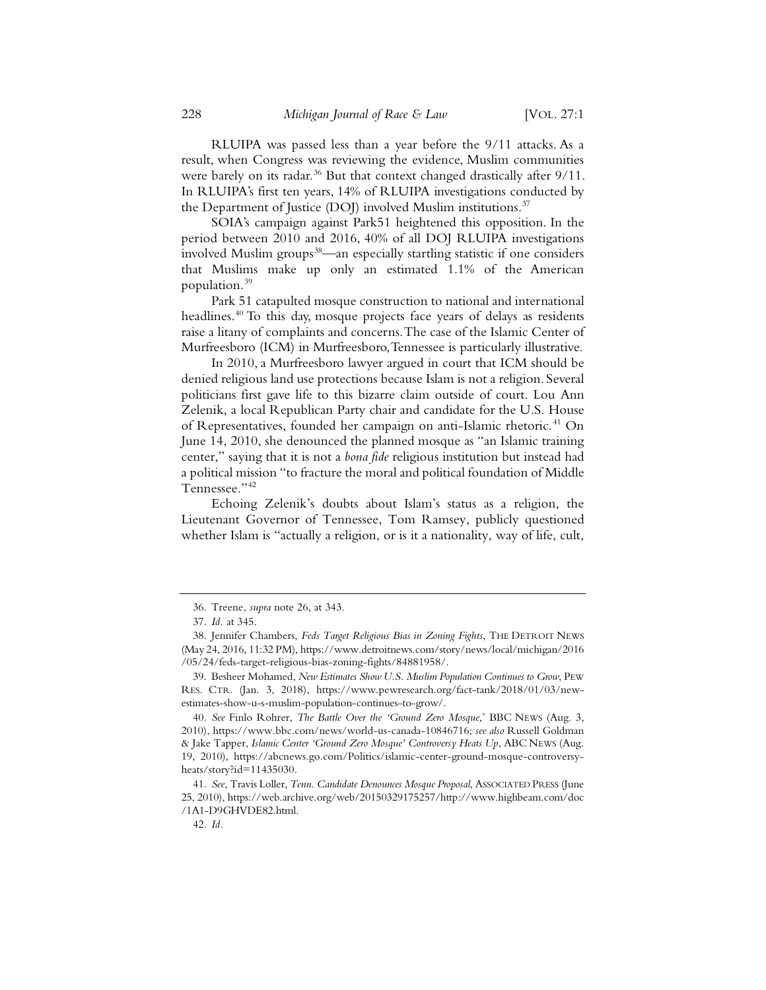RLUIPA was passed less than a year before the 9/11 attacks. As a result, when Congress was reviewing the evidence, Muslim communities were barely on its radar.<sup>36</sup> But that context changed drastically after 9/11. In RLUIPA's first ten years, 14% of RLUIPA investigations conducted by the Department of Justice (DOJ) involved Muslim institutions.<sup>37</sup>

SOIA's campaign against Park51 heightened this opposition. In the period between 2010 and 2016, 40% of all DOJ RLUIPA investigations involved Muslim groups<sup>38</sup>—an especially startling statistic if one considers that Muslims make up only an estimated 1.1% of the American population.39

Park 51 catapulted mosque construction to national and international headlines.<sup>40</sup> To this day, mosque projects face years of delays as residents raise a litany of complaints and concerns. The case of the Islamic Center of Murfreesboro (ICM) in Murfreesboro, Tennessee is particularly illustrative.

In 2010, a Murfreesboro lawyer argued in court that ICM should be denied religious land use protections because Islam is not a religion. Several politicians first gave life to this bizarre claim outside of court. Lou Ann Zelenik, a local Republican Party chair and candidate for the U.S. House of Representatives, founded her campaign on anti-Islamic rhetoric.<sup>41</sup> On June 14, 2010, she denounced the planned mosque as "an Islamic training center," saying that it is not a *bona fide* religious institution but instead had a political mission "to fracture the moral and political foundation of Middle Tennessee."<sup>42</sup>

Echoing Zelenik's doubts about Islam's status as a religion, the Lieutenant Governor of Tennessee, Tom Ramsey, publicly questioned whether Islam is "actually a religion, or is it a nationality, way of life, cult,

<sup>36.</sup> Treene, *supra* note 26, at 343.

<sup>37</sup>*. Id.* at 345.

<sup>38.</sup> Jennifer Chambers, *Feds Target Religious Bias in Zoning Fights*, THE DETROIT NEWS (May 24, 2016, 11:32 PM), https://www.detroitnews.com/story/news/local/michigan/2016 /05/24/feds-target-religious-bias-zoning-fights/84881958/.

<sup>39.</sup> Besheer Mohamed, *New Estimates Show U.S. Muslim Population Continues to Grow*, PEW RES. CTR. (Jan. 3, 2018), https://www.pewresearch.org/fact-tank/2018/01/03/newestimates-show-u-s-muslim-population-continues-to-grow/.

<sup>40</sup>*. See* Finlo Rohrer, *The Battle Over the 'Ground Zero Mosque*,' BBC NEWS (Aug. 3, 2010), https://www.bbc.com/news/world-us-canada-10846716; *see also* Russell Goldman & Jake Tapper, *Islamic Center 'Ground Zero Mosque' Controversy Heats Up*, ABC NEWS (Aug. 19, 2010), https://abcnews.go.com/Politics/islamic-center-ground-mosque-controversyheats/story?id=11435030.

<sup>41</sup>*. See,* Travis Loller, *Tenn. Candidate Denounces Mosque Proposal*, ASSOCIATED PRESS (June 25, 2010), https://web.archive.org/web/20150329175257/http://www.highbeam.com/doc /1A1-D9GHVDE82.html.

<sup>42</sup>*. Id.*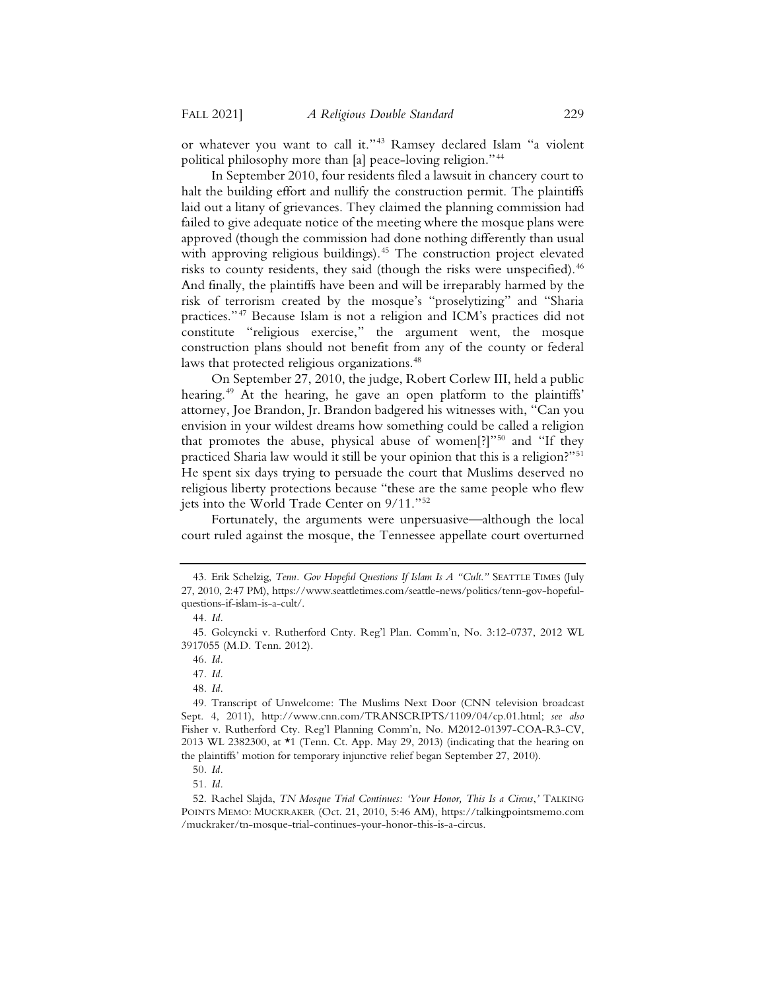or whatever you want to call it."43 Ramsey declared Islam "a violent political philosophy more than [a] peace-loving religion."44

In September 2010, four residents filed a lawsuit in chancery court to halt the building effort and nullify the construction permit. The plaintiffs laid out a litany of grievances. They claimed the planning commission had failed to give adequate notice of the meeting where the mosque plans were approved (though the commission had done nothing differently than usual with approving religious buildings).<sup>45</sup> The construction project elevated risks to county residents, they said (though the risks were unspecified).<sup>46</sup> And finally, the plaintiffs have been and will be irreparably harmed by the risk of terrorism created by the mosque's "proselytizing" and "Sharia practices."47 Because Islam is not a religion and ICM's practices did not constitute "religious exercise," the argument went, the mosque construction plans should not benefit from any of the county or federal laws that protected religious organizations.<sup>48</sup>

On September 27, 2010, the judge, Robert Corlew III, held a public hearing.<sup>49</sup> At the hearing, he gave an open platform to the plaintiffs' attorney, Joe Brandon, Jr. Brandon badgered his witnesses with, "Can you envision in your wildest dreams how something could be called a religion that promotes the abuse, physical abuse of women[?]"<sup>50</sup> and "If they practiced Sharia law would it still be your opinion that this is a religion?"51 He spent six days trying to persuade the court that Muslims deserved no religious liberty protections because "these are the same people who flew jets into the World Trade Center on 9/11."52

Fortunately, the arguments were unpersuasive—although the local court ruled against the mosque, the Tennessee appellate court overturned

<sup>43.</sup> Erik Schelzig, *Tenn. Gov Hopeful Questions If Islam Is A "Cult*.*"* SEATTLE TIMES (July 27, 2010, 2:47 PM), https://www.seattletimes.com/seattle-news/politics/tenn-gov-hopefulquestions-if-islam-is-a-cult/.

<sup>44</sup>*. Id.*

<sup>45.</sup> Golcyncki v. Rutherford Cnty. Reg'l Plan. Comm'n, No. 3:12-0737, 2012 WL 3917055 (M.D. Tenn. 2012).

<sup>46</sup>*. Id.*

<sup>47</sup>*. Id.*

<sup>48</sup>*. Id.*

<sup>49.</sup> Transcript of Unwelcome: The Muslims Next Door (CNN television broadcast Sept. 4, 2011), http://www.cnn.com/TRANSCRIPTS/1109/04/cp.01.html; *see also*  Fisher v. Rutherford Cty. Reg'l Planning Comm'n, No. M2012-01397-COA-R3-CV, 2013 WL 2382300, at \*1 (Tenn. Ct. App. May 29, 2013) (indicating that the hearing on the plaintiffs' motion for temporary injunctive relief began September 27, 2010).

<sup>50</sup>*. Id.*

<sup>51</sup>*. Id.*

<sup>52.</sup> Rachel Slajda, *TN Mosque Trial Continues: 'Your Honor, This Is a Circus*,*'* TALKING POINTS MEMO: MUCKRAKER (Oct. 21, 2010, 5:46 AM), https://talkingpointsmemo.com /muckraker/tn-mosque-trial-continues-your-honor-this-is-a-circus.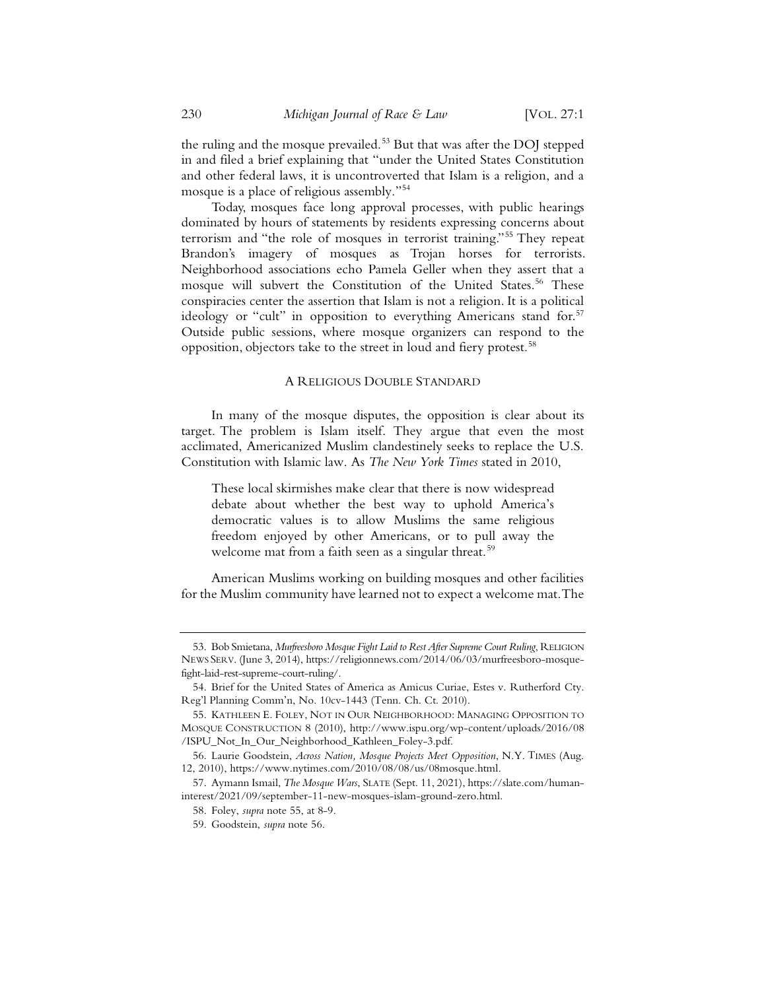the ruling and the mosque prevailed.<sup>53</sup> But that was after the DOJ stepped in and filed a brief explaining that "under the United States Constitution and other federal laws, it is uncontroverted that Islam is a religion, and a mosque is a place of religious assembly."54

Today, mosques face long approval processes, with public hearings dominated by hours of statements by residents expressing concerns about terrorism and "the role of mosques in terrorist training."55 They repeat Brandon's imagery of mosques as Trojan horses for terrorists. Neighborhood associations echo Pamela Geller when they assert that a mosque will subvert the Constitution of the United States.<sup>56</sup> These conspiracies center the assertion that Islam is not a religion. It is a political ideology or "cult" in opposition to everything Americans stand for.<sup>57</sup> Outside public sessions, where mosque organizers can respond to the opposition, objectors take to the street in loud and fiery protest.58

#### A RELIGIOUS DOUBLE STANDARD

In many of the mosque disputes, the opposition is clear about its target. The problem is Islam itself. They argue that even the most acclimated, Americanized Muslim clandestinely seeks to replace the U.S. Constitution with Islamic law. As *The New York Times* stated in 2010,

These local skirmishes make clear that there is now widespread debate about whether the best way to uphold America's democratic values is to allow Muslims the same religious freedom enjoyed by other Americans, or to pull away the welcome mat from a faith seen as a singular threat.<sup>59</sup>

American Muslims working on building mosques and other facilities for the Muslim community have learned not to expect a welcome mat. The

<sup>53.</sup> Bob Smietana, *Murfreesboro Mosque Fight Laid to Rest After Supreme Court Ruling*, RELIGION NEWS SERV. (June 3, 2014), https://religionnews.com/2014/06/03/murfreesboro-mosquefight-laid-rest-supreme-court-ruling/.

<sup>54.</sup> Brief for the United States of America as Amicus Curiae, Estes v. Rutherford Cty. Reg'l Planning Comm'n, No. 10cv-1443 (Tenn. Ch. Ct. 2010).

<sup>55.</sup> KATHLEEN E. FOLEY, NOT IN OUR NEIGHBORHOOD: MANAGING OPPOSITION TO MOSQUE CONSTRUCTION 8 (2010), http://www.ispu.org/wp-content/uploads/2016/08 /ISPU\_Not\_In\_Our\_Neighborhood\_Kathleen\_Foley-3.pdf.

<sup>56.</sup> Laurie Goodstein, *Across Nation, Mosque Projects Meet Opposition*, N.Y. TIMES (Aug. 12, 2010), https://www.nytimes.com/2010/08/08/us/08mosque.html.

<sup>57.</sup> Aymann Ismail, *The Mosque Wars*, SLATE (Sept. 11, 2021), https://slate.com/humaninterest/2021/09/september-11-new-mosques-islam-ground-zero.html.

<sup>58.</sup> Foley, *supra* note 55, at 8-9.

<sup>59.</sup> Goodstein, *supra* note 56.